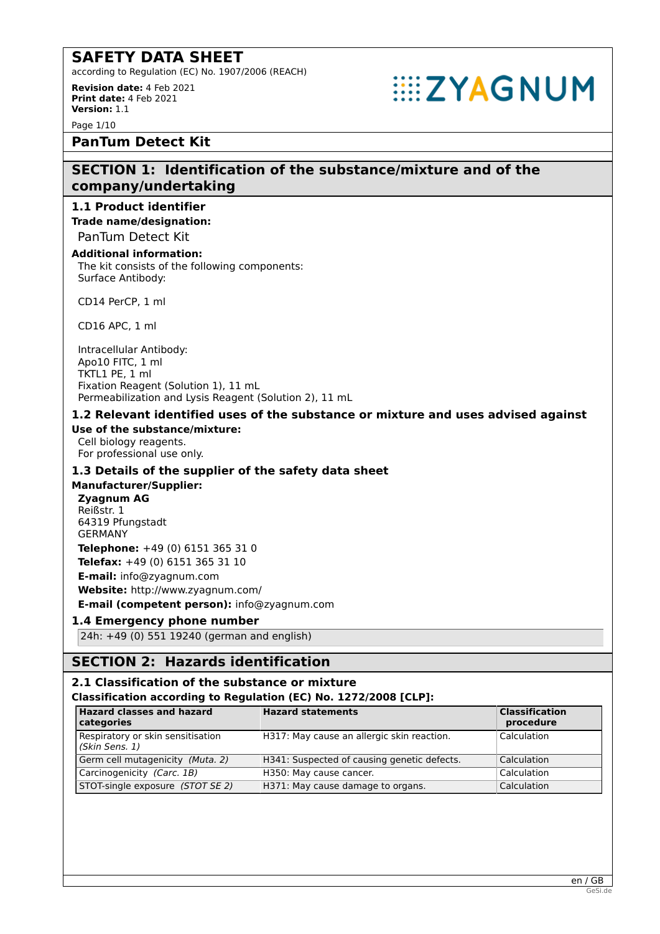according to Regulation (EC) No. 1907/2006 (REACH)

**Revision date:** 4 Feb 2021 **Print date:** 4 Feb 2021 **Version:** 1.1

Page 1/10

# **PanTum Detect Kit**

# **SECTION 1: Identification of the substance/mixture and of the company/undertaking**

**EXAGNUM** 

# **1.1 Product identifier**

**Trade name/designation:** PanTum Detect Kit

#### **Additional information:**

The kit consists of the following components: Surface Antibody:

CD14 PerCP, 1 ml

CD16 APC, 1 ml

Intracellular Antibody: Apo10 FITC, 1 ml TKTL1 PE, 1 ml Fixation Reagent (Solution 1), 11 mL Permeabilization and Lysis Reagent (Solution 2), 11 mL

# **1.2 Relevant identified uses of the substance or mixture and uses advised against**

#### **Use of the substance/mixture:**

Cell biology reagents. For professional use only.

# **1.3 Details of the supplier of the safety data sheet**

# **Manufacturer/Supplier:**

**Zyagnum AG** Reißstr. 1 64319 Pfungstadt GERMANY **Telephone:** +49 (0) 6151 365 31 0 **Telefax:** +49 (0) 6151 365 31 10 **E-mail:** info@zyagnum.com **Website:** http://www.zyagnum.com/ **E-mail (competent person):** info@zyagnum.com

# **1.4 Emergency phone number**

24h: +49 (0) 551 19240 (german and english)

# **SECTION 2: Hazards identification**

# **2.1 Classification of the substance or mixture**

# **Classification according to Regulation (EC) No. 1272/2008 [CLP]:**

| <b>Hazard classes and hazard</b><br>categories      | <b>Hazard statements</b>                    | <b>Classification</b><br>procedure |
|-----------------------------------------------------|---------------------------------------------|------------------------------------|
| Respiratory or skin sensitisation<br>(Skin Sens. 1) | H317: May cause an allergic skin reaction.  | Calculation                        |
| Germ cell mutagenicity (Muta. 2)                    | H341: Suspected of causing genetic defects. | Calculation                        |
| Carcinogenicity (Carc. 1B)                          | H350: May cause cancer.                     | Calculation                        |
| STOT-single exposure (STOT SE 2)                    | H371: May cause damage to organs.           | Calculation                        |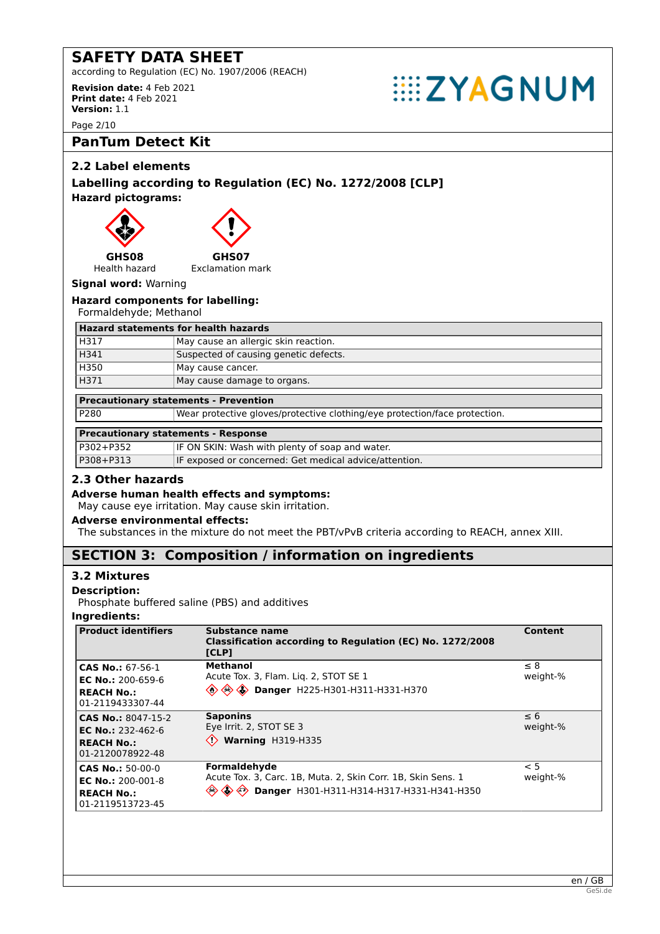according to Regulation (EC) No. 1907/2006 (REACH)

**Revision date:** 4 Feb 2021 **Print date:** 4 Feb 2021 **Version:** 1.1

Page 2/10

# **PanTum Detect Kit**

# **2.2 Label elements**

# **Labelling according to Regulation (EC) No. 1272/2008 [CLP] Hazard pictograms:**





Exclamation mark

Health hazard **Signal word:** Warning

# **Hazard components for labelling:**

Formaldehyde; Methanol

| <b>Hazard statements for health hazards</b> |                                       |  |
|---------------------------------------------|---------------------------------------|--|
| H317                                        | May cause an allergic skin reaction.  |  |
| H341                                        | Suspected of causing genetic defects. |  |
| H350                                        | May cause cancer.                     |  |
| H371<br>May cause damage to organs.         |                                       |  |

**EXAGNUM** 

# **Precautionary statements - Prevention**

P280 Wear protective gloves/protective clothing/eye protection/face protection.

# **Precautionary statements - Response**

| P302+P352 | IF ON SKIN: Wash with plenty of soap and water.        |
|-----------|--------------------------------------------------------|
| P308+P313 | IF exposed or concerned: Get medical advice/attention. |

# **2.3 Other hazards**

#### **Adverse human health effects and symptoms:**

May cause eye irritation. May cause skin irritation.

#### **Adverse environmental effects:**

The substances in the mixture do not meet the PBT/vPvB criteria according to REACH, annex XIII.

# **SECTION 3: Composition / information on ingredients**

# **3.2 Mixtures**

#### **Description:**

Phosphate buffered saline (PBS) and additives

#### **Ingredients:**

| <b>Product identifiers</b>                                                                   | Substance name<br>Classification according to Regulation (EC) No. 1272/2008<br>[CLP]                                             | Content              |
|----------------------------------------------------------------------------------------------|----------------------------------------------------------------------------------------------------------------------------------|----------------------|
| CAS No.: 67-56-1<br>EC No.: $200 - 659 - 6$<br><b>REACH No.:</b><br>01-2119433307-44         | <b>Methanol</b><br>Acute Tox. 3, Flam. Lig. 2, STOT SE 1<br><b>A</b> A <b>Danger</b> H225-H301-H311-H331-H370                    | $\leq 8$<br>weight-% |
| CAS No.: 8047-15-2<br>EC No.: 232-462-6<br><b>REACH No.:</b><br>01-2120078922-48             | <b>Saponins</b><br>Eye Irrit. 2, STOT SE 3<br>$\Diamond$ Warning H319-H335                                                       | $\leq 6$<br>weight-% |
| <b>CAS No.: 50-00-0</b><br><b>EC No.: 200-001-8</b><br><b>REACH No.:</b><br>01-2119513723-45 | Formaldehyde<br>Acute Tox. 3, Carc. 1B, Muta. 2, Skin Corr. 1B, Skin Sens. 1<br>Danger H301-H311-H314-H317-H331-H341-H350<br>◈◈◈ | < 5<br>weight-%      |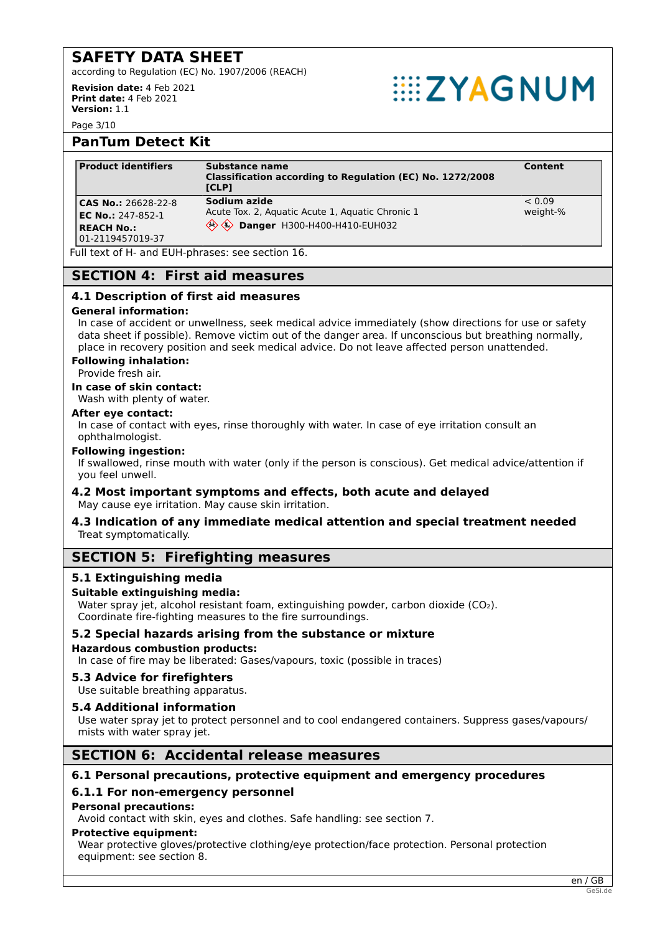according to Regulation (EC) No. 1907/2006 (REACH)

**Revision date:** 4 Feb 2021 **Print date:** 4 Feb 2021 **Version:** 1.1

# **EXAGNUM**

Page 3/10

# **PanTum Detect Kit**

| <b>Product identifiers</b>                                                        | Substance name<br>Classification according to Regulation (EC) No. 1272/2008<br>[CLP]                 | Content            |
|-----------------------------------------------------------------------------------|------------------------------------------------------------------------------------------------------|--------------------|
| CAS No.: 26628-22-8<br>EC No.: 247-852-1<br><b>REACH No.:</b><br>01-2119457019-37 | Sodium azide<br>Acute Tox. 2, Aguatic Acute 1, Aguatic Chronic 1<br>Sex Danger H300-H400-H410-EUH032 | < 0.09<br>weight-% |

Full text of H- and EUH-phrases: see section 16.

# **SECTION 4: First aid measures**

# **4.1 Description of first aid measures**

#### **General information:**

In case of accident or unwellness, seek medical advice immediately (show directions for use or safety data sheet if possible). Remove victim out of the danger area. If unconscious but breathing normally, place in recovery position and seek medical advice. Do not leave affected person unattended.

#### **Following inhalation:**

Provide fresh air.

**In case of skin contact:**

Wash with plenty of water.

#### **After eye contact:**

In case of contact with eyes, rinse thoroughly with water. In case of eye irritation consult an ophthalmologist.

#### **Following ingestion:**

If swallowed, rinse mouth with water (only if the person is conscious). Get medical advice/attention if you feel unwell.

# **4.2 Most important symptoms and effects, both acute and delayed**

May cause eye irritation. May cause skin irritation.

#### **4.3 Indication of any immediate medical attention and special treatment needed** Treat symptomatically.

# **SECTION 5: Firefighting measures**

# **5.1 Extinguishing media**

# **Suitable extinguishing media:**

Water spray jet, alcohol resistant foam, extinguishing powder, carbon dioxide (CO2). Coordinate fire-fighting measures to the fire surroundings.

# **5.2 Special hazards arising from the substance or mixture**

**Hazardous combustion products:**

In case of fire may be liberated: Gases/vapours, toxic (possible in traces)

# **5.3 Advice for firefighters**

Use suitable breathing apparatus.

# **5.4 Additional information**

Use water spray jet to protect personnel and to cool endangered containers. Suppress gases/vapours/ mists with water spray jet.

# **SECTION 6: Accidental release measures**

# **6.1 Personal precautions, protective equipment and emergency procedures**

# **6.1.1 For non-emergency personnel**

#### **Personal precautions:**

Avoid contact with skin, eyes and clothes. Safe handling: see section 7.

#### **Protective equipment:**

Wear protective gloves/protective clothing/eye protection/face protection. Personal protection equipment: see section 8.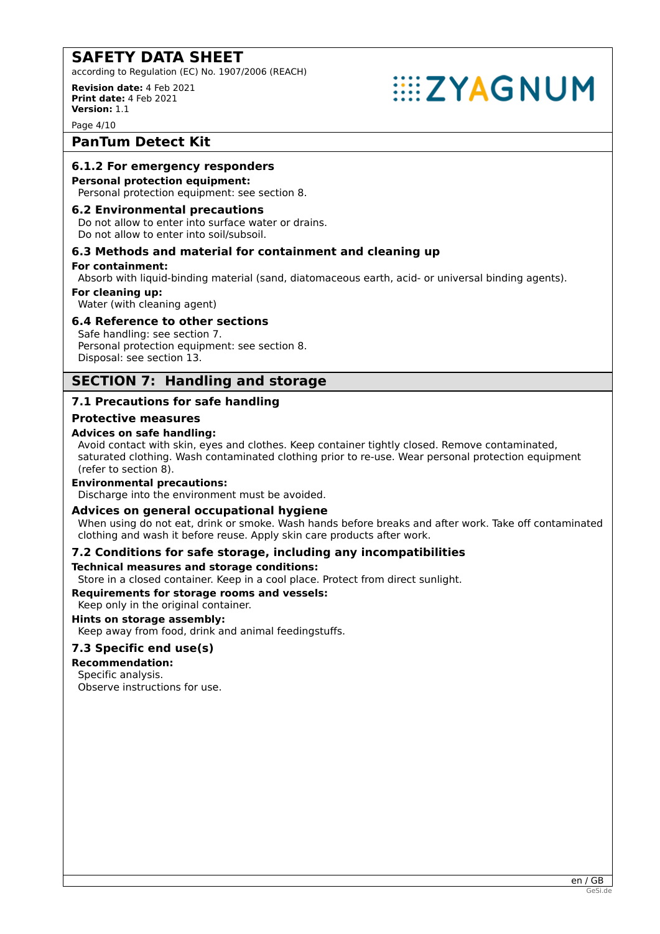according to Regulation (EC) No. 1907/2006 (REACH)

**Revision date:** 4 Feb 2021 **Print date:** 4 Feb 2021 **Version:** 1.1

# **EXAGNUM**

Page 4/10

# **PanTum Detect Kit**

# **6.1.2 For emergency responders**

#### **Personal protection equipment:**

Personal protection equipment: see section 8.

#### **6.2 Environmental precautions**

Do not allow to enter into surface water or drains. Do not allow to enter into soil/subsoil.

# **6.3 Methods and material for containment and cleaning up**

#### **For containment:**

Absorb with liquid-binding material (sand, diatomaceous earth, acid- or universal binding agents).

#### **For cleaning up:**

Water (with cleaning agent)

# **6.4 Reference to other sections**

Safe handling: see section 7. Personal protection equipment: see section 8. Disposal: see section 13.

# **SECTION 7: Handling and storage**

# **7.1 Precautions for safe handling**

# **Protective measures**

# **Advices on safe handling:**

Avoid contact with skin, eyes and clothes. Keep container tightly closed. Remove contaminated, saturated clothing. Wash contaminated clothing prior to re-use. Wear personal protection equipment (refer to section 8).

# **Environmental precautions:**

Discharge into the environment must be avoided.

# **Advices on general occupational hygiene**

When using do not eat, drink or smoke. Wash hands before breaks and after work. Take off contaminated clothing and wash it before reuse. Apply skin care products after work.

# **7.2 Conditions for safe storage, including any incompatibilities**

# **Technical measures and storage conditions:**

Store in a closed container. Keep in a cool place. Protect from direct sunlight.

# **Requirements for storage rooms and vessels:**

Keep only in the original container.

**Hints on storage assembly:** Keep away from food, drink and animal feedingstuffs.

# **7.3 Specific end use(s)**

# **Recommendation:**

# Specific analysis.

Observe instructions for use.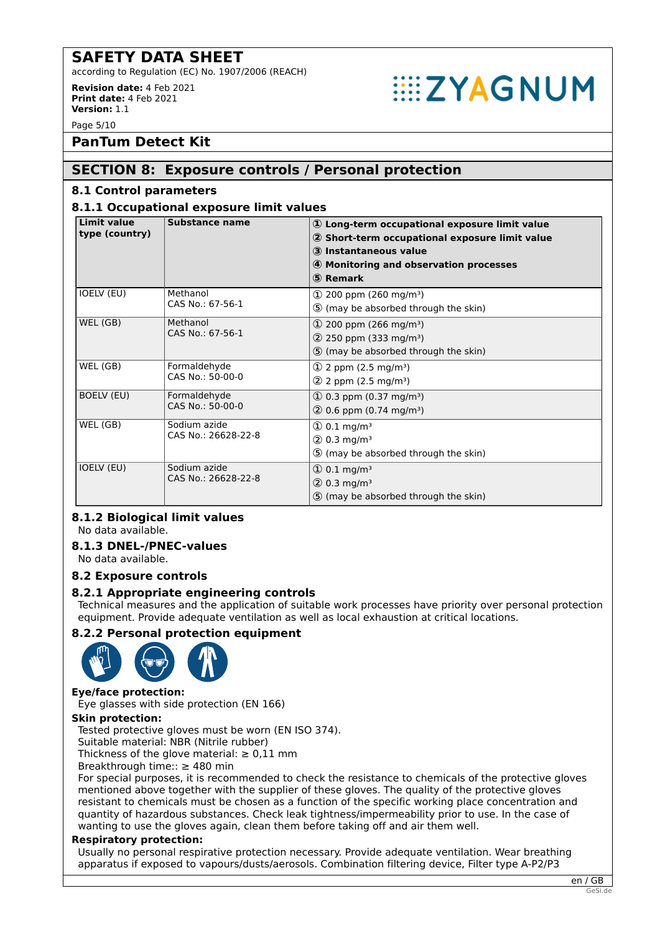according to Regulation (EC) No. 1907/2006 (REACH)

**Revision date:** 4 Feb 2021 **Print date:** 4 Feb 2021 **Version:** 1.1

# **EXAGNUM**

Page 5/10

**PanTum Detect Kit**

# **SECTION 8: Exposure controls / Personal protection**

# **8.1 Control parameters**

# **8.1.1 Occupational exposure limit values**

| <b>Limit value</b><br>type (country) | <b>Substance name</b>               | $\mathbf{\Phi}$ Long-term occupational exposure limit value<br>2 Short-term occupational exposure limit value<br>3 Instantaneous value<br>4 Monitoring and observation processes<br>5 Remark |
|--------------------------------------|-------------------------------------|----------------------------------------------------------------------------------------------------------------------------------------------------------------------------------------------|
| IOELV (EU)                           | Methanol<br>CAS No.: 67-56-1        | $\Omega$ 200 ppm (260 mg/m <sup>3</sup> )<br>5 (may be absorbed through the skin)                                                                                                            |
| WEL (GB)                             | Methanol<br>CAS No.: 67-56-1        | $\Omega$ 200 ppm (266 mg/m <sup>3</sup> )<br>$(2)$ 250 ppm (333 mg/m <sup>3</sup> )<br>5 (may be absorbed through the skin)                                                                  |
| WEL (GB)                             | Formaldehyde<br>CAS No.: 50-00-0    | $\Phi$ 2 ppm (2.5 mg/m <sup>3</sup> )<br>2 2 ppm (2.5 mg/m <sup>3</sup> )                                                                                                                    |
| <b>BOELV (EU)</b>                    | Formaldehyde<br>CAS No.: 50-00-0    | $\Phi$ 0.3 ppm (0.37 mg/m <sup>3</sup> )<br>$(2)$ 0.6 ppm (0.74 mg/m <sup>3</sup> )                                                                                                          |
| WEL (GB)                             | Sodium azide<br>CAS No.: 26628-22-8 | $\textcircled{1}$ 0.1 mg/m <sup>3</sup><br>$(2)$ 0.3 mg/m <sup>3</sup><br>5 (may be absorbed through the skin)                                                                               |
| <b>IOELV (EU)</b>                    | Sodium azide<br>CAS No.: 26628-22-8 | $\textcircled{1}$ 0.1 mg/m <sup>3</sup><br>$(2)$ 0.3 mg/m <sup>3</sup><br>5 (may be absorbed through the skin)                                                                               |

# **8.1.2 Biological limit values**

No data available.

# **8.1.3 DNEL-/PNEC-values**

No data available.

**8.2 Exposure controls**

# **8.2.1 Appropriate engineering controls**

Technical measures and the application of suitable work processes have priority over personal protection equipment. Provide adequate ventilation as well as local exhaustion at critical locations.

# **8.2.2 Personal protection equipment**



# **Eye/face protection:**

Eye glasses with side protection (EN 166)

# **Skin protection:**

Tested protective gloves must be worn (EN ISO 374).

Suitable material: NBR (Nitrile rubber)

Thickness of the glove material:  $\geq 0.11$  mm

Breakthrough time:: ≥ 480 min

For special purposes, it is recommended to check the resistance to chemicals of the protective gloves mentioned above together with the supplier of these gloves. The quality of the protective gloves resistant to chemicals must be chosen as a function of the specific working place concentration and quantity of hazardous substances. Check leak tightness/impermeability prior to use. In the case of wanting to use the gloves again, clean them before taking off and air them well.

# **Respiratory protection:**

Usually no personal respirative protection necessary. Provide adequate ventilation. Wear breathing apparatus if exposed to vapours/dusts/aerosols. Combination filtering device, Filter type A-P2/P3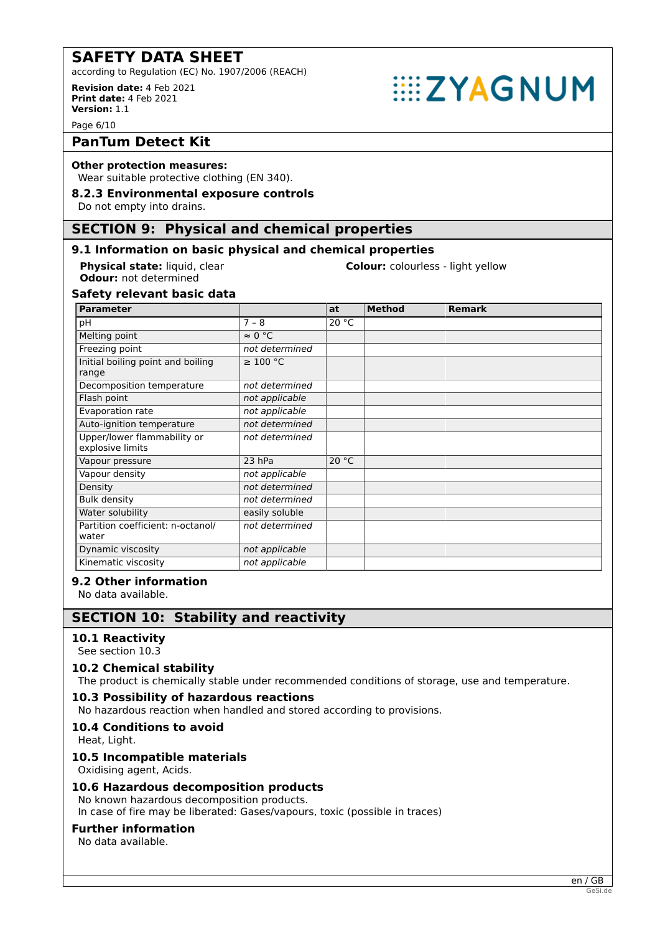according to Regulation (EC) No. 1907/2006 (REACH)

#### **Revision date:** 4 Feb 2021 **Print date:** 4 Feb 2021 **Version:** 1.1

Page 6/10

# **PanTum Detect Kit**

#### **Other protection measures:**

Wear suitable protective clothing (EN 340).

# **8.2.3 Environmental exposure controls**

Do not empty into drains.

# **SECTION 9: Physical and chemical properties**

# **9.1 Information on basic physical and chemical properties**

**Odour:** not determined

**Physical state:** liquid, clear **Colour:** colourless - light yellow

**EXAGNUM** 

# **Safety relevant basic data**

| <b>Parameter</b>                                |                | at    | <b>Method</b> | <b>Remark</b> |
|-------------------------------------------------|----------------|-------|---------------|---------------|
| рH                                              | $7 - 8$        | 20 °C |               |               |
| Melting point                                   | $\approx 0$ °C |       |               |               |
| Freezing point                                  | not determined |       |               |               |
| Initial boiling point and boiling<br>range      | $\geq 100$ °C  |       |               |               |
| Decomposition temperature                       | not determined |       |               |               |
| Flash point                                     | not applicable |       |               |               |
| Evaporation rate                                | not applicable |       |               |               |
| Auto-ignition temperature                       | not determined |       |               |               |
| Upper/lower flammability or<br>explosive limits | not determined |       |               |               |
| Vapour pressure                                 | 23 hPa         | 20 °C |               |               |
| Vapour density                                  | not applicable |       |               |               |
| Density                                         | not determined |       |               |               |
| <b>Bulk density</b>                             | not determined |       |               |               |
| Water solubility                                | easily soluble |       |               |               |
| Partition coefficient: n-octanol/<br>water      | not determined |       |               |               |
| Dynamic viscosity                               | not applicable |       |               |               |
| Kinematic viscosity                             | not applicable |       |               |               |

# **9.2 Other information**

No data available.

# **SECTION 10: Stability and reactivity**

# **10.1 Reactivity**

See section 10.3

# **10.2 Chemical stability**

The product is chemically stable under recommended conditions of storage, use and temperature.

# **10.3 Possibility of hazardous reactions**

No hazardous reaction when handled and stored according to provisions.

# **10.4 Conditions to avoid**

Heat, Light.

# **10.5 Incompatible materials**

Oxidising agent, Acids.

# **10.6 Hazardous decomposition products**

No known hazardous decomposition products. In case of fire may be liberated: Gases/vapours, toxic (possible in traces)

# **Further information**

No data available.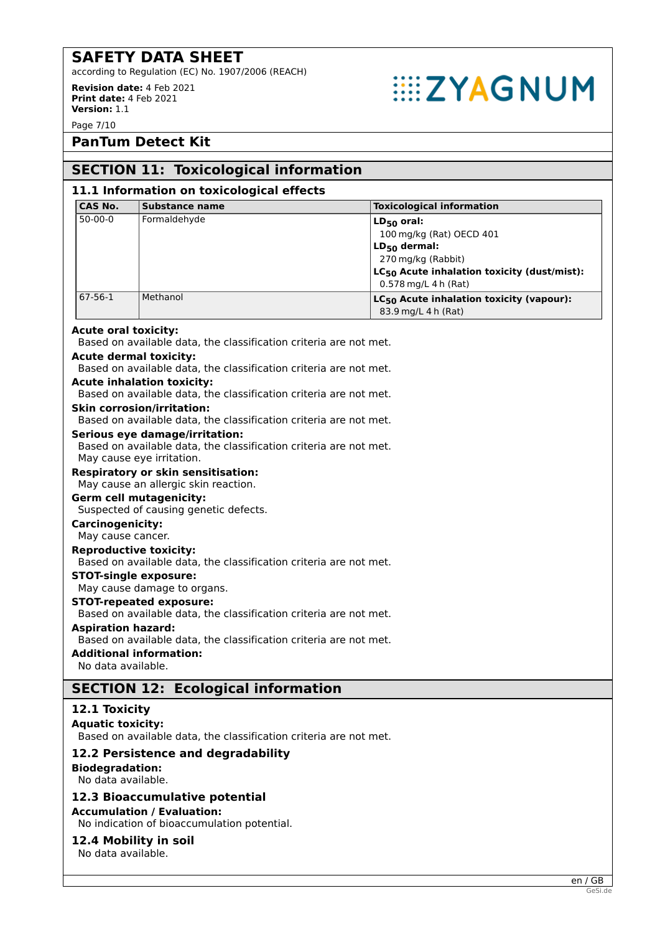according to Regulation (EC) No. 1907/2006 (REACH)

**Revision date:** 4 Feb 2021 **Print date:** 4 Feb 2021 **Version:** 1.1

# **EXAGNUM**

Page 7/10

# **PanTum Detect Kit**

# **SECTION 11: Toxicological information**

| <b>CAS No.</b>                               | <b>Substance name</b>                                                                                                            | <b>Toxicological information</b>                                            |
|----------------------------------------------|----------------------------------------------------------------------------------------------------------------------------------|-----------------------------------------------------------------------------|
| $50 - 00 - 0$                                | Formaldehyde                                                                                                                     | $LD_{50}$ oral:                                                             |
|                                              |                                                                                                                                  | 100 mg/kg (Rat) OECD 401                                                    |
|                                              |                                                                                                                                  | $LD_{50}$ dermal:                                                           |
|                                              |                                                                                                                                  | 270 mg/kg (Rabbit)                                                          |
|                                              |                                                                                                                                  | LC <sub>50</sub> Acute inhalation toxicity (dust/mist):                     |
| $67 - 56 - 1$                                | Methanol                                                                                                                         | 0.578 mg/L 4 h (Rat)                                                        |
|                                              |                                                                                                                                  | LC <sub>50</sub> Acute inhalation toxicity (vapour):<br>83.9 mg/L 4 h (Rat) |
| <b>Acute oral toxicity:</b>                  | Based on available data, the classification criteria are not met.                                                                |                                                                             |
|                                              | <b>Acute dermal toxicity:</b><br>Based on available data, the classification criteria are not met.                               |                                                                             |
|                                              | <b>Acute inhalation toxicity:</b><br>Based on available data, the classification criteria are not met.                           |                                                                             |
|                                              | <b>Skin corrosion/irritation:</b><br>Based on available data, the classification criteria are not met.                           |                                                                             |
|                                              | Serious eye damage/irritation:<br>Based on available data, the classification criteria are not met.<br>May cause eye irritation. |                                                                             |
|                                              | <b>Respiratory or skin sensitisation:</b><br>May cause an allergic skin reaction.                                                |                                                                             |
|                                              | <b>Germ cell mutagenicity:</b><br>Suspected of causing genetic defects.                                                          |                                                                             |
| <b>Carcinogenicity:</b><br>May cause cancer. |                                                                                                                                  |                                                                             |
|                                              | <b>Reproductive toxicity:</b><br>Based on available data, the classification criteria are not met.                               |                                                                             |
|                                              | <b>STOT-single exposure:</b><br>May cause damage to organs.                                                                      |                                                                             |
|                                              | <b>STOT-repeated exposure:</b><br>Based on available data, the classification criteria are not met.                              |                                                                             |
| <b>Aspiration hazard:</b>                    | Based on available data, the classification criteria are not met.                                                                |                                                                             |
| No data available.                           | <b>Additional information:</b>                                                                                                   |                                                                             |
|                                              | <b>SECTION 12: Ecological information</b>                                                                                        |                                                                             |
| 12.1 Toxicity<br><b>Aquatic toxicity:</b>    |                                                                                                                                  |                                                                             |
|                                              | Based on available data, the classification criteria are not met.                                                                |                                                                             |
| <b>Biodegradation:</b><br>No data available. | 12.2 Persistence and degradability                                                                                               |                                                                             |
|                                              | 12.3 Bioaccumulative potential<br><b>Accumulation / Evaluation:</b>                                                              |                                                                             |
|                                              | No indication of bioaccumulation potential.                                                                                      |                                                                             |
| No data available.                           | 12.4 Mobility in soil                                                                                                            |                                                                             |
|                                              |                                                                                                                                  | en / GB                                                                     |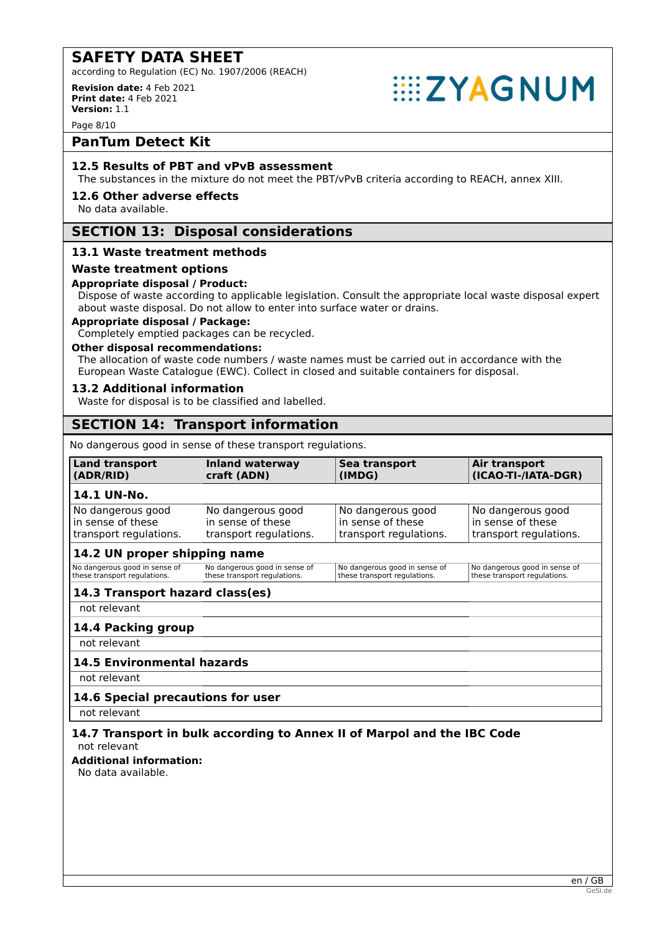according to Regulation (EC) No. 1907/2006 (REACH)

**Revision date:** 4 Feb 2021 **Print date:** 4 Feb 2021 **Version:** 1.1



Page 8/10

# **PanTum Detect Kit**

# **12.5 Results of PBT and vPvB assessment**

The substances in the mixture do not meet the PBT/vPvB criteria according to REACH, annex XIII.

#### **12.6 Other adverse effects**

No data available.

# **SECTION 13: Disposal considerations**

# **13.1 Waste treatment methods**

#### **Waste treatment options**

#### **Appropriate disposal / Product:**

Dispose of waste according to applicable legislation. Consult the appropriate local waste disposal expert about waste disposal. Do not allow to enter into surface water or drains.

# **Appropriate disposal / Package:**

Completely emptied packages can be recycled.

# **Other disposal recommendations:**

The allocation of waste code numbers / waste names must be carried out in accordance with the European Waste Catalogue (EWC). Collect in closed and suitable containers for disposal.

#### **13.2 Additional information**

Waste for disposal is to be classified and labelled.

# **SECTION 14: Transport information**

No dangerous good in sense of these transport regulations.

| <b>Land transport</b>           | <b>Inland waterway</b>        | Sea transport                 | Air transport                 |
|---------------------------------|-------------------------------|-------------------------------|-------------------------------|
| (ADR/RID)                       | craft (ADN)                   | (IMDG)                        | (ICAO-TI-/IATA-DGR)           |
| 14.1 UN-No.                     |                               |                               |                               |
| No dangerous good               | No dangerous good             | No dangerous good             | No dangerous good             |
| in sense of these               | in sense of these             | in sense of these             | in sense of these             |
| transport regulations.          | transport regulations.        | transport regulations.        | transport regulations.        |
| 14.2 UN proper shipping name    |                               |                               |                               |
| No dangerous good in sense of   | No dangerous good in sense of | No dangerous good in sense of | No dangerous good in sense of |
| these transport regulations.    | these transport regulations.  | these transport regulations.  | these transport regulations.  |
| 14.3 Transport hazard class(es) |                               |                               |                               |

#### not relevant

# **14.4 Packing group**

not relevant

# **14.5 Environmental hazards**

not relevant

#### **14.6 Special precautions for user**

not relevant

#### **14.7 Transport in bulk according to Annex II of Marpol and the IBC Code** not relevant

**Additional information:**

No data available.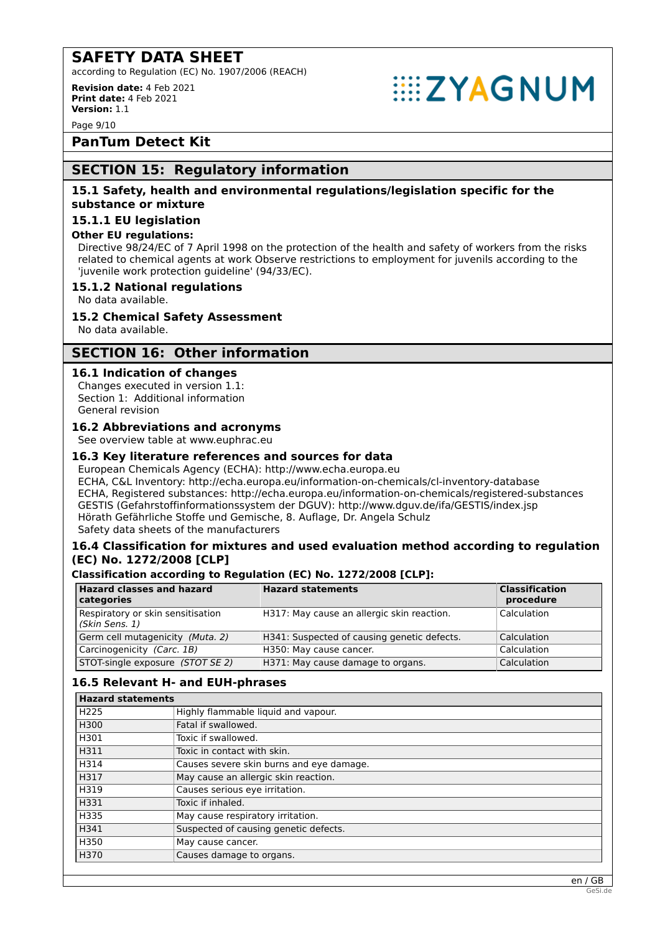according to Regulation (EC) No. 1907/2006 (REACH)

**Revision date:** 4 Feb 2021 **Print date:** 4 Feb 2021 **Version:** 1.1

Page 9/10

**PanTum Detect Kit**

# **SECTION 15: Regulatory information**

# **15.1 Safety, health and environmental regulations/legislation specific for the substance or mixture**

# **15.1.1 EU legislation**

# **Other EU regulations:**

Directive 98/24/EC of 7 April 1998 on the protection of the health and safety of workers from the risks related to chemical agents at work Observe restrictions to employment for juvenils according to the 'juvenile work protection guideline' (94/33/EC).

**EXAGNUM** 

# **15.1.2 National regulations**

No data available.

# **15.2 Chemical Safety Assessment**

No data available.

# **SECTION 16: Other information**

# **16.1 Indication of changes**

Changes executed in version 1.1: Section 1: Additional information General revision

# **16.2 Abbreviations and acronyms**

See overview table at www.euphrac.eu

# **16.3 Key literature references and sources for data**

European Chemicals Agency (ECHA): http://www.echa.europa.eu ECHA, C&L Inventory: http://echa.europa.eu/information-on-chemicals/cl-inventory-database ECHA, Registered substances: http://echa.europa.eu/information-on-chemicals/registered-substances GESTIS (Gefahrstoffinformationssystem der DGUV): http://www.dguv.de/ifa/GESTIS/index.jsp Hörath Gefährliche Stoffe und Gemische, 8. Auflage, Dr. Angela Schulz Safety data sheets of the manufacturers

# **16.4 Classification for mixtures and used evaluation method according to regulation (EC) No. 1272/2008 [CLP]**

# **Classification according to Regulation (EC) No. 1272/2008 [CLP]:**

| <b>Hazard classes and hazard</b><br>categories      | <b>Hazard statements</b>                    | <b>Classification</b><br>procedure |
|-----------------------------------------------------|---------------------------------------------|------------------------------------|
| Respiratory or skin sensitisation<br>(Skin Sens. 1) | H317: May cause an allergic skin reaction.  | Calculation                        |
| Germ cell mutagenicity (Muta. 2)                    | H341: Suspected of causing genetic defects. | Calculation                        |
| Carcinogenicity (Carc. 1B)                          | H350: May cause cancer.                     | Calculation                        |
| STOT-single exposure (STOT SE 2)                    | H371: May cause damage to organs.           | Calculation                        |

# **16.5 Relevant H- and EUH-phrases**

| <b>Hazard statements</b> |                                          |
|--------------------------|------------------------------------------|
| H <sub>225</sub>         | Highly flammable liquid and vapour.      |
| H300                     | Fatal if swallowed.                      |
| H301                     | Toxic if swallowed.                      |
| H311                     | Toxic in contact with skin.              |
| H314                     | Causes severe skin burns and eye damage. |
| H317                     | May cause an allergic skin reaction.     |
| H319                     | Causes serious eye irritation.           |
| H331                     | Toxic if inhaled.                        |
| H335                     | May cause respiratory irritation.        |
| H341                     | Suspected of causing genetic defects.    |
| H350                     | May cause cancer.                        |
| H370                     | Causes damage to organs.                 |